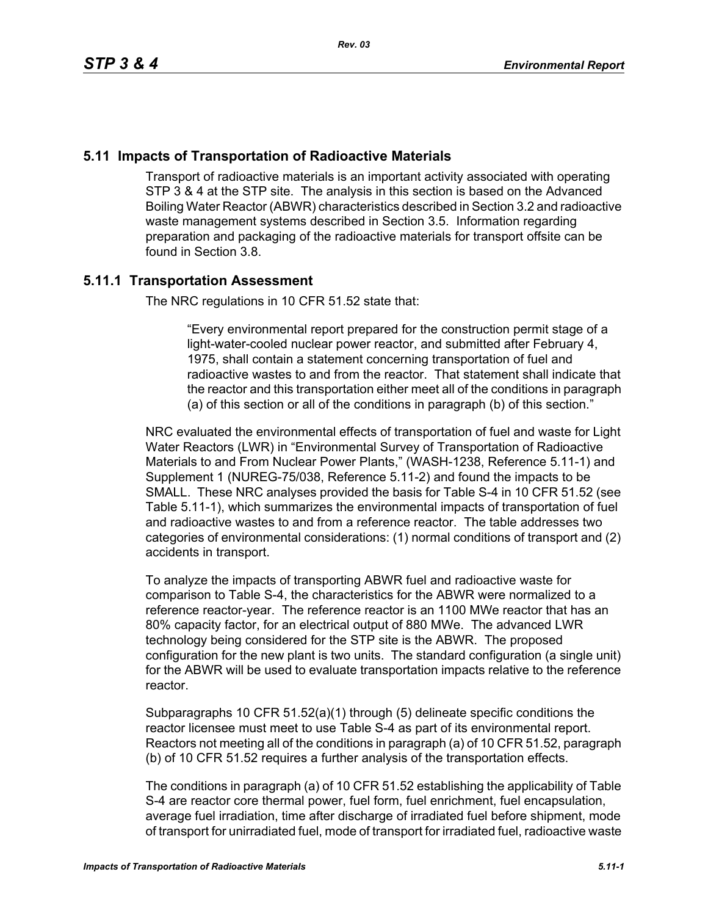## **5.11 Impacts of Transportation of Radioactive Materials**

Transport of radioactive materials is an important activity associated with operating STP 3 & 4 at the STP site. The analysis in this section is based on the Advanced Boiling Water Reactor (ABWR) characteristics described in Section 3.2 and radioactive waste management systems described in Section 3.5. Information regarding preparation and packaging of the radioactive materials for transport offsite can be found in Section 3.8.

# **5.11.1 Transportation Assessment**

The NRC regulations in 10 CFR 51.52 state that:

"Every environmental report prepared for the construction permit stage of a light-water-cooled nuclear power reactor, and submitted after February 4, 1975, shall contain a statement concerning transportation of fuel and radioactive wastes to and from the reactor. That statement shall indicate that the reactor and this transportation either meet all of the conditions in paragraph (a) of this section or all of the conditions in paragraph (b) of this section."

NRC evaluated the environmental effects of transportation of fuel and waste for Light Water Reactors (LWR) in "Environmental Survey of Transportation of Radioactive Materials to and From Nuclear Power Plants," (WASH-1238, Reference 5.11-1) and Supplement 1 (NUREG-75/038, Reference 5.11-2) and found the impacts to be SMALL. These NRC analyses provided the basis for Table S-4 in 10 CFR 51.52 (see Table 5.11-1), which summarizes the environmental impacts of transportation of fuel and radioactive wastes to and from a reference reactor. The table addresses two categories of environmental considerations: (1) normal conditions of transport and (2) accidents in transport.

To analyze the impacts of transporting ABWR fuel and radioactive waste for comparison to Table S-4, the characteristics for the ABWR were normalized to a reference reactor-year. The reference reactor is an 1100 MWe reactor that has an 80% capacity factor, for an electrical output of 880 MWe. The advanced LWR technology being considered for the STP site is the ABWR. The proposed configuration for the new plant is two units. The standard configuration (a single unit) for the ABWR will be used to evaluate transportation impacts relative to the reference reactor.

Subparagraphs 10 CFR 51.52(a)(1) through (5) delineate specific conditions the reactor licensee must meet to use Table S-4 as part of its environmental report. Reactors not meeting all of the conditions in paragraph (a) of 10 CFR 51.52, paragraph (b) of 10 CFR 51.52 requires a further analysis of the transportation effects.

The conditions in paragraph (a) of 10 CFR 51.52 establishing the applicability of Table S-4 are reactor core thermal power, fuel form, fuel enrichment, fuel encapsulation, average fuel irradiation, time after discharge of irradiated fuel before shipment, mode of transport for unirradiated fuel, mode of transport for irradiated fuel, radioactive waste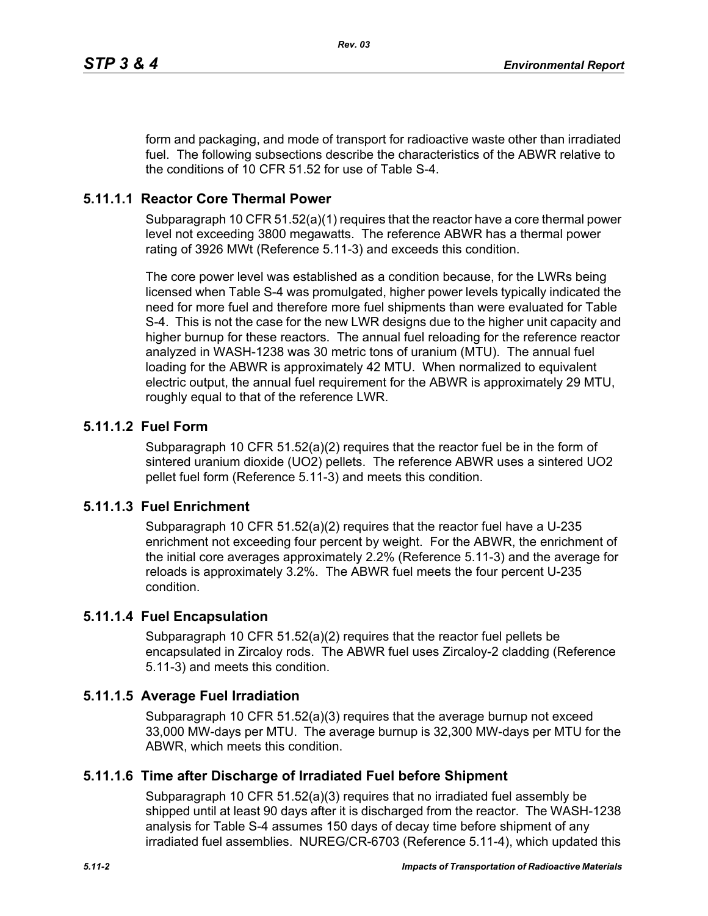form and packaging, and mode of transport for radioactive waste other than irradiated fuel. The following subsections describe the characteristics of the ABWR relative to the conditions of 10 CFR 51.52 for use of Table S-4.

## **5.11.1.1 Reactor Core Thermal Power**

Subparagraph 10 CFR 51.52(a)(1) requires that the reactor have a core thermal power level not exceeding 3800 megawatts. The reference ABWR has a thermal power rating of 3926 MWt (Reference 5.11-3) and exceeds this condition.

The core power level was established as a condition because, for the LWRs being licensed when Table S-4 was promulgated, higher power levels typically indicated the need for more fuel and therefore more fuel shipments than were evaluated for Table S-4. This is not the case for the new LWR designs due to the higher unit capacity and higher burnup for these reactors. The annual fuel reloading for the reference reactor analyzed in WASH-1238 was 30 metric tons of uranium (MTU). The annual fuel loading for the ABWR is approximately 42 MTU. When normalized to equivalent electric output, the annual fuel requirement for the ABWR is approximately 29 MTU, roughly equal to that of the reference LWR.

# **5.11.1.2 Fuel Form**

Subparagraph 10 CFR 51.52(a)(2) requires that the reactor fuel be in the form of sintered uranium dioxide (UO2) pellets. The reference ABWR uses a sintered UO2 pellet fuel form (Reference 5.11-3) and meets this condition.

### **5.11.1.3 Fuel Enrichment**

Subparagraph 10 CFR 51.52(a)(2) requires that the reactor fuel have a U-235 enrichment not exceeding four percent by weight. For the ABWR, the enrichment of the initial core averages approximately 2.2% (Reference 5.11-3) and the average for reloads is approximately 3.2%. The ABWR fuel meets the four percent U-235 condition.

# **5.11.1.4 Fuel Encapsulation**

Subparagraph 10 CFR 51.52(a)(2) requires that the reactor fuel pellets be encapsulated in Zircaloy rods. The ABWR fuel uses Zircaloy-2 cladding (Reference 5.11-3) and meets this condition.

### **5.11.1.5 Average Fuel Irradiation**

Subparagraph 10 CFR 51.52(a)(3) requires that the average burnup not exceed 33,000 MW-days per MTU. The average burnup is 32,300 MW-days per MTU for the ABWR, which meets this condition.

### **5.11.1.6 Time after Discharge of Irradiated Fuel before Shipment**

Subparagraph 10 CFR 51.52(a)(3) requires that no irradiated fuel assembly be shipped until at least 90 days after it is discharged from the reactor. The WASH-1238 analysis for Table S-4 assumes 150 days of decay time before shipment of any irradiated fuel assemblies. NUREG/CR-6703 (Reference 5.11-4), which updated this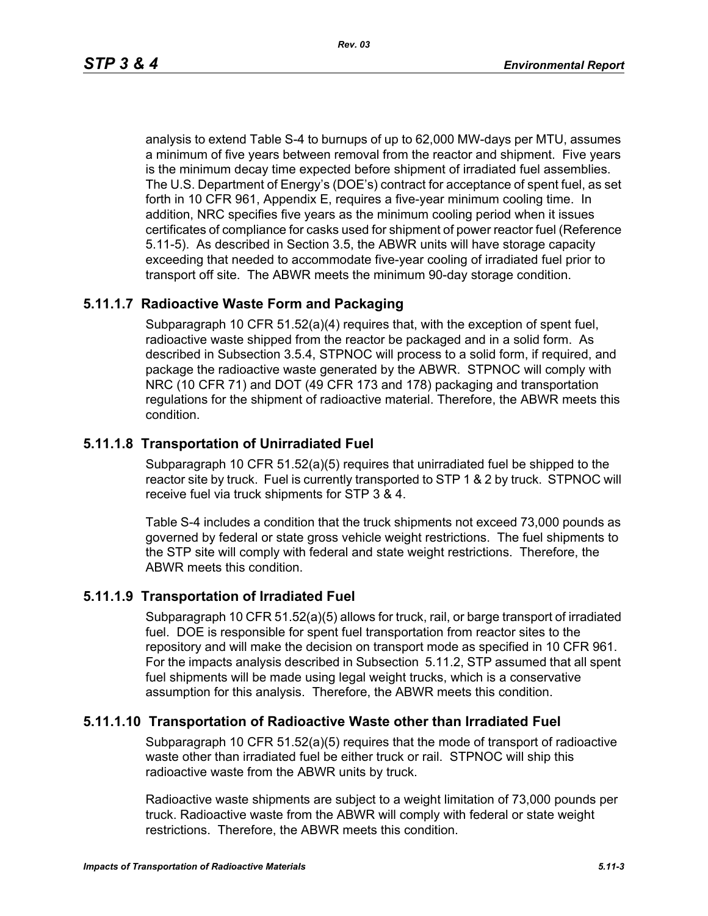analysis to extend Table S-4 to burnups of up to 62,000 MW-days per MTU, assumes a minimum of five years between removal from the reactor and shipment. Five years is the minimum decay time expected before shipment of irradiated fuel assemblies. The U.S. Department of Energy's (DOE's) contract for acceptance of spent fuel, as set forth in 10 CFR 961, Appendix E, requires a five-year minimum cooling time. In addition, NRC specifies five years as the minimum cooling period when it issues certificates of compliance for casks used for shipment of power reactor fuel (Reference 5.11-5). As described in Section 3.5, the ABWR units will have storage capacity exceeding that needed to accommodate five-year cooling of irradiated fuel prior to transport off site. The ABWR meets the minimum 90-day storage condition.

#### **5.11.1.7 Radioactive Waste Form and Packaging**

Subparagraph 10 CFR 51.52(a)(4) requires that, with the exception of spent fuel, radioactive waste shipped from the reactor be packaged and in a solid form. As described in Subsection 3.5.4, STPNOC will process to a solid form, if required, and package the radioactive waste generated by the ABWR. STPNOC will comply with NRC (10 CFR 71) and DOT (49 CFR 173 and 178) packaging and transportation regulations for the shipment of radioactive material. Therefore, the ABWR meets this condition.

#### **5.11.1.8 Transportation of Unirradiated Fuel**

Subparagraph 10 CFR 51.52(a)(5) requires that unirradiated fuel be shipped to the reactor site by truck. Fuel is currently transported to STP 1 & 2 by truck. STPNOC will receive fuel via truck shipments for STP 3 & 4.

Table S-4 includes a condition that the truck shipments not exceed 73,000 pounds as governed by federal or state gross vehicle weight restrictions. The fuel shipments to the STP site will comply with federal and state weight restrictions. Therefore, the ABWR meets this condition.

### **5.11.1.9 Transportation of Irradiated Fuel**

Subparagraph 10 CFR 51.52(a)(5) allows for truck, rail, or barge transport of irradiated fuel. DOE is responsible for spent fuel transportation from reactor sites to the repository and will make the decision on transport mode as specified in 10 CFR 961. For the impacts analysis described in Subsection 5.11.2, STP assumed that all spent fuel shipments will be made using legal weight trucks, which is a conservative assumption for this analysis. Therefore, the ABWR meets this condition.

### **5.11.1.10 Transportation of Radioactive Waste other than Irradiated Fuel**

Subparagraph 10 CFR 51.52(a)(5) requires that the mode of transport of radioactive waste other than irradiated fuel be either truck or rail. STPNOC will ship this radioactive waste from the ABWR units by truck.

Radioactive waste shipments are subject to a weight limitation of 73,000 pounds per truck. Radioactive waste from the ABWR will comply with federal or state weight restrictions. Therefore, the ABWR meets this condition.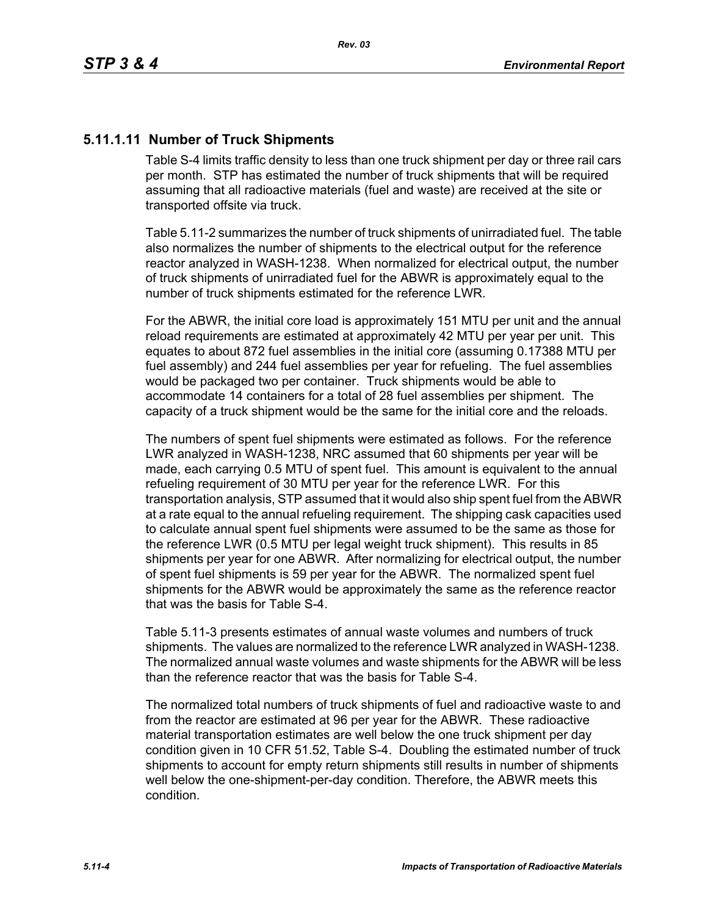# **5.11.1.11 Number of Truck Shipments**

Table S-4 limits traffic density to less than one truck shipment per day or three rail cars per month. STP has estimated the number of truck shipments that will be required assuming that all radioactive materials (fuel and waste) are received at the site or transported offsite via truck.

Table 5.11-2 summarizes the number of truck shipments of unirradiated fuel. The table also normalizes the number of shipments to the electrical output for the reference reactor analyzed in WASH-1238. When normalized for electrical output, the number of truck shipments of unirradiated fuel for the ABWR is approximately equal to the number of truck shipments estimated for the reference LWR.

For the ABWR, the initial core load is approximately 151 MTU per unit and the annual reload requirements are estimated at approximately 42 MTU per year per unit. This equates to about 872 fuel assemblies in the initial core (assuming 0.17388 MTU per fuel assembly) and 244 fuel assemblies per year for refueling. The fuel assemblies would be packaged two per container. Truck shipments would be able to accommodate 14 containers for a total of 28 fuel assemblies per shipment. The capacity of a truck shipment would be the same for the initial core and the reloads.

The numbers of spent fuel shipments were estimated as follows. For the reference LWR analyzed in WASH-1238, NRC assumed that 60 shipments per year will be made, each carrying 0.5 MTU of spent fuel. This amount is equivalent to the annual refueling requirement of 30 MTU per year for the reference LWR. For this transportation analysis, STP assumed that it would also ship spent fuel from the ABWR at a rate equal to the annual refueling requirement. The shipping cask capacities used to calculate annual spent fuel shipments were assumed to be the same as those for the reference LWR (0.5 MTU per legal weight truck shipment). This results in 85 shipments per year for one ABWR. After normalizing for electrical output, the number of spent fuel shipments is 59 per year for the ABWR. The normalized spent fuel shipments for the ABWR would be approximately the same as the reference reactor that was the basis for Table S-4.

Table 5.11-3 presents estimates of annual waste volumes and numbers of truck shipments. The values are normalized to the reference LWR analyzed in WASH-1238. The normalized annual waste volumes and waste shipments for the ABWR will be less than the reference reactor that was the basis for Table S-4.

The normalized total numbers of truck shipments of fuel and radioactive waste to and from the reactor are estimated at 96 per year for the ABWR. These radioactive material transportation estimates are well below the one truck shipment per day condition given in 10 CFR 51.52, Table S-4. Doubling the estimated number of truck shipments to account for empty return shipments still results in number of shipments well below the one-shipment-per-day condition. Therefore, the ABWR meets this condition.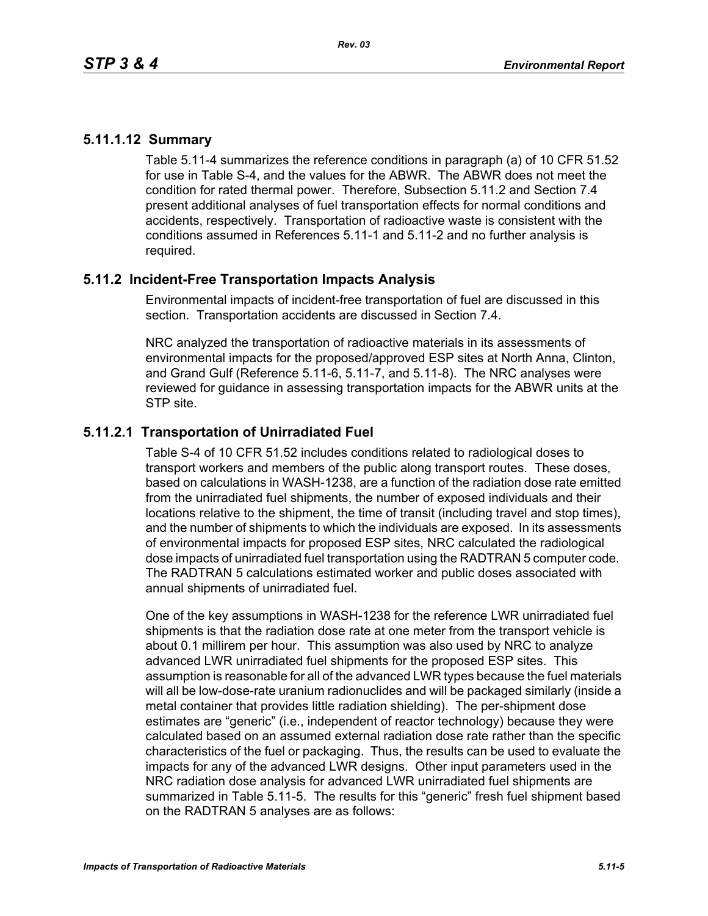## **5.11.1.12 Summary**

Table 5.11-4 summarizes the reference conditions in paragraph (a) of 10 CFR 51.52 for use in Table S-4, and the values for the ABWR. The ABWR does not meet the condition for rated thermal power. Therefore, Subsection 5.11.2 and Section 7.4 present additional analyses of fuel transportation effects for normal conditions and accidents, respectively. Transportation of radioactive waste is consistent with the conditions assumed in References 5.11-1 and 5.11-2 and no further analysis is required.

# **5.11.2 Incident-Free Transportation Impacts Analysis**

Environmental impacts of incident-free transportation of fuel are discussed in this section. Transportation accidents are discussed in Section 7.4.

NRC analyzed the transportation of radioactive materials in its assessments of environmental impacts for the proposed/approved ESP sites at North Anna, Clinton, and Grand Gulf (Reference 5.11-6, 5.11-7, and 5.11-8). The NRC analyses were reviewed for guidance in assessing transportation impacts for the ABWR units at the STP site.

# **5.11.2.1 Transportation of Unirradiated Fuel**

Table S-4 of 10 CFR 51.52 includes conditions related to radiological doses to transport workers and members of the public along transport routes. These doses, based on calculations in WASH-1238, are a function of the radiation dose rate emitted from the unirradiated fuel shipments, the number of exposed individuals and their locations relative to the shipment, the time of transit (including travel and stop times), and the number of shipments to which the individuals are exposed. In its assessments of environmental impacts for proposed ESP sites, NRC calculated the radiological dose impacts of unirradiated fuel transportation using the RADTRAN 5 computer code. The RADTRAN 5 calculations estimated worker and public doses associated with annual shipments of unirradiated fuel.

One of the key assumptions in WASH-1238 for the reference LWR unirradiated fuel shipments is that the radiation dose rate at one meter from the transport vehicle is about 0.1 millirem per hour. This assumption was also used by NRC to analyze advanced LWR unirradiated fuel shipments for the proposed ESP sites. This assumption is reasonable for all of the advanced LWR types because the fuel materials will all be low-dose-rate uranium radionuclides and will be packaged similarly (inside a metal container that provides little radiation shielding). The per-shipment dose estimates are "generic" (i.e., independent of reactor technology) because they were calculated based on an assumed external radiation dose rate rather than the specific characteristics of the fuel or packaging. Thus, the results can be used to evaluate the impacts for any of the advanced LWR designs. Other input parameters used in the NRC radiation dose analysis for advanced LWR unirradiated fuel shipments are summarized in Table 5.11-5. The results for this "generic" fresh fuel shipment based on the RADTRAN 5 analyses are as follows: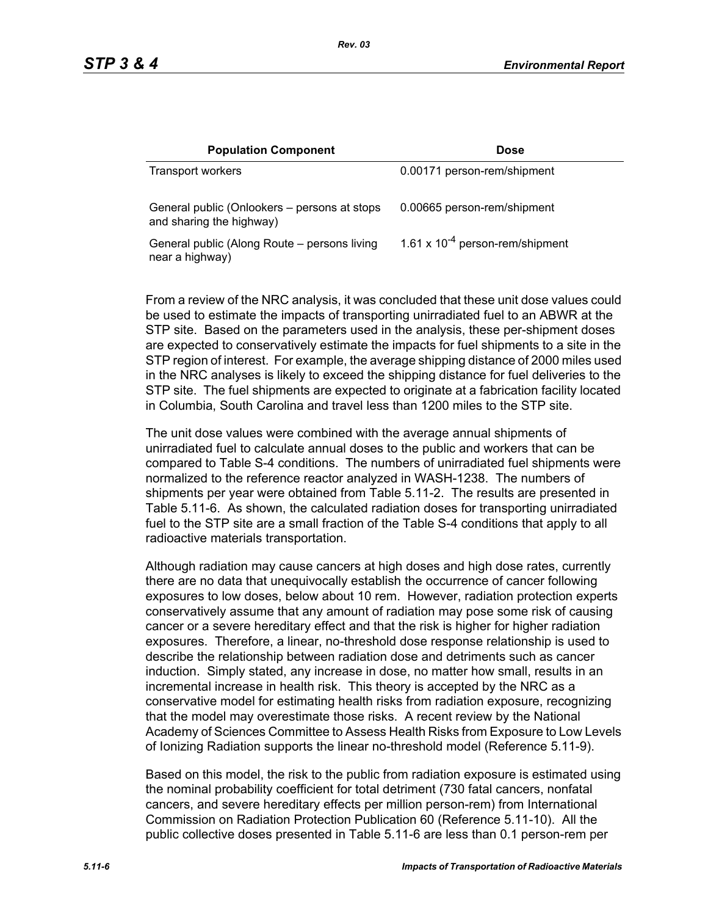| <b>Population Component</b>                                              | <b>Dose</b>                          |
|--------------------------------------------------------------------------|--------------------------------------|
| Transport workers                                                        | 0.00171 person-rem/shipment          |
| General public (Onlookers – persons at stops<br>and sharing the highway) | 0.00665 person-rem/shipment          |
| General public (Along Route – persons living<br>near a highway)          | 1.61 x $10^{-4}$ person-rem/shipment |

From a review of the NRC analysis, it was concluded that these unit dose values could be used to estimate the impacts of transporting unirradiated fuel to an ABWR at the STP site. Based on the parameters used in the analysis, these per-shipment doses are expected to conservatively estimate the impacts for fuel shipments to a site in the STP region of interest. For example, the average shipping distance of 2000 miles used in the NRC analyses is likely to exceed the shipping distance for fuel deliveries to the STP site. The fuel shipments are expected to originate at a fabrication facility located in Columbia, South Carolina and travel less than 1200 miles to the STP site.

The unit dose values were combined with the average annual shipments of unirradiated fuel to calculate annual doses to the public and workers that can be compared to Table S-4 conditions. The numbers of unirradiated fuel shipments were normalized to the reference reactor analyzed in WASH-1238. The numbers of shipments per year were obtained from Table 5.11-2. The results are presented in Table 5.11-6. As shown, the calculated radiation doses for transporting unirradiated fuel to the STP site are a small fraction of the Table S-4 conditions that apply to all radioactive materials transportation.

Although radiation may cause cancers at high doses and high dose rates, currently there are no data that unequivocally establish the occurrence of cancer following exposures to low doses, below about 10 rem. However, radiation protection experts conservatively assume that any amount of radiation may pose some risk of causing cancer or a severe hereditary effect and that the risk is higher for higher radiation exposures. Therefore, a linear, no-threshold dose response relationship is used to describe the relationship between radiation dose and detriments such as cancer induction. Simply stated, any increase in dose, no matter how small, results in an incremental increase in health risk. This theory is accepted by the NRC as a conservative model for estimating health risks from radiation exposure, recognizing that the model may overestimate those risks. A recent review by the National Academy of Sciences Committee to Assess Health Risks from Exposure to Low Levels of Ionizing Radiation supports the linear no-threshold model (Reference 5.11-9).

Based on this model, the risk to the public from radiation exposure is estimated using the nominal probability coefficient for total detriment (730 fatal cancers, nonfatal cancers, and severe hereditary effects per million person-rem) from International Commission on Radiation Protection Publication 60 (Reference 5.11-10). All the public collective doses presented in Table 5.11-6 are less than 0.1 person-rem per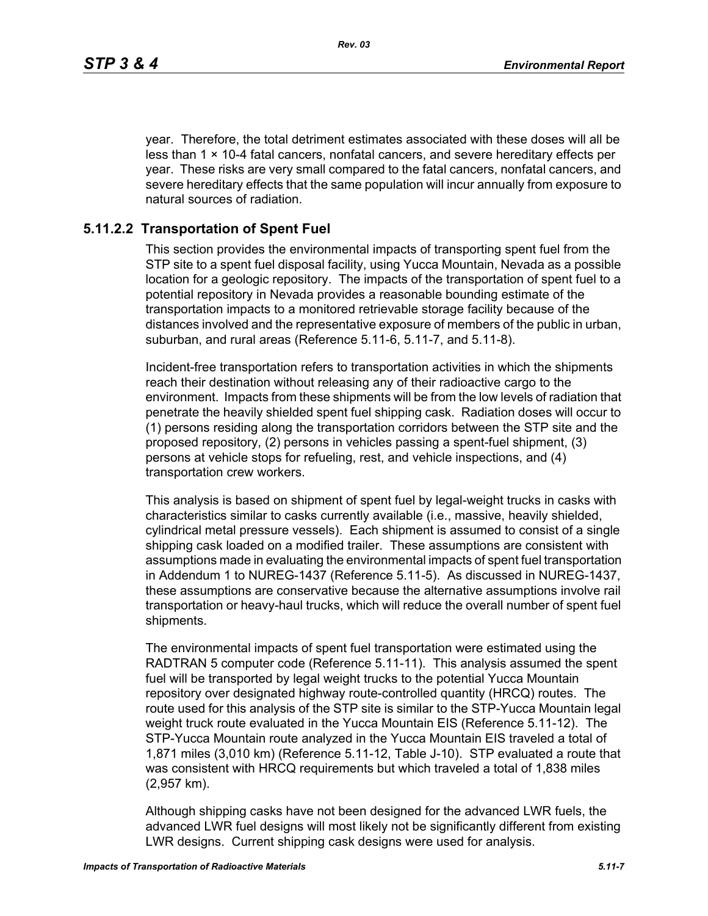year. Therefore, the total detriment estimates associated with these doses will all be less than  $1 \times 10-4$  fatal cancers, nonfatal cancers, and severe hereditary effects per year. These risks are very small compared to the fatal cancers, nonfatal cancers, and severe hereditary effects that the same population will incur annually from exposure to natural sources of radiation.

### **5.11.2.2 Transportation of Spent Fuel**

This section provides the environmental impacts of transporting spent fuel from the STP site to a spent fuel disposal facility, using Yucca Mountain, Nevada as a possible location for a geologic repository. The impacts of the transportation of spent fuel to a potential repository in Nevada provides a reasonable bounding estimate of the transportation impacts to a monitored retrievable storage facility because of the distances involved and the representative exposure of members of the public in urban, suburban, and rural areas (Reference 5.11-6, 5.11-7, and 5.11-8).

Incident-free transportation refers to transportation activities in which the shipments reach their destination without releasing any of their radioactive cargo to the environment. Impacts from these shipments will be from the low levels of radiation that penetrate the heavily shielded spent fuel shipping cask. Radiation doses will occur to (1) persons residing along the transportation corridors between the STP site and the proposed repository, (2) persons in vehicles passing a spent-fuel shipment, (3) persons at vehicle stops for refueling, rest, and vehicle inspections, and (4) transportation crew workers.

This analysis is based on shipment of spent fuel by legal-weight trucks in casks with characteristics similar to casks currently available (i.e., massive, heavily shielded, cylindrical metal pressure vessels). Each shipment is assumed to consist of a single shipping cask loaded on a modified trailer. These assumptions are consistent with assumptions made in evaluating the environmental impacts of spent fuel transportation in Addendum 1 to NUREG-1437 (Reference 5.11-5). As discussed in NUREG-1437, these assumptions are conservative because the alternative assumptions involve rail transportation or heavy-haul trucks, which will reduce the overall number of spent fuel shipments.

The environmental impacts of spent fuel transportation were estimated using the RADTRAN 5 computer code (Reference 5.11-11). This analysis assumed the spent fuel will be transported by legal weight trucks to the potential Yucca Mountain repository over designated highway route-controlled quantity (HRCQ) routes. The route used for this analysis of the STP site is similar to the STP-Yucca Mountain legal weight truck route evaluated in the Yucca Mountain EIS (Reference 5.11-12). The STP-Yucca Mountain route analyzed in the Yucca Mountain EIS traveled a total of 1,871 miles (3,010 km) (Reference 5.11-12, Table J-10). STP evaluated a route that was consistent with HRCQ requirements but which traveled a total of 1,838 miles (2,957 km).

Although shipping casks have not been designed for the advanced LWR fuels, the advanced LWR fuel designs will most likely not be significantly different from existing LWR designs. Current shipping cask designs were used for analysis.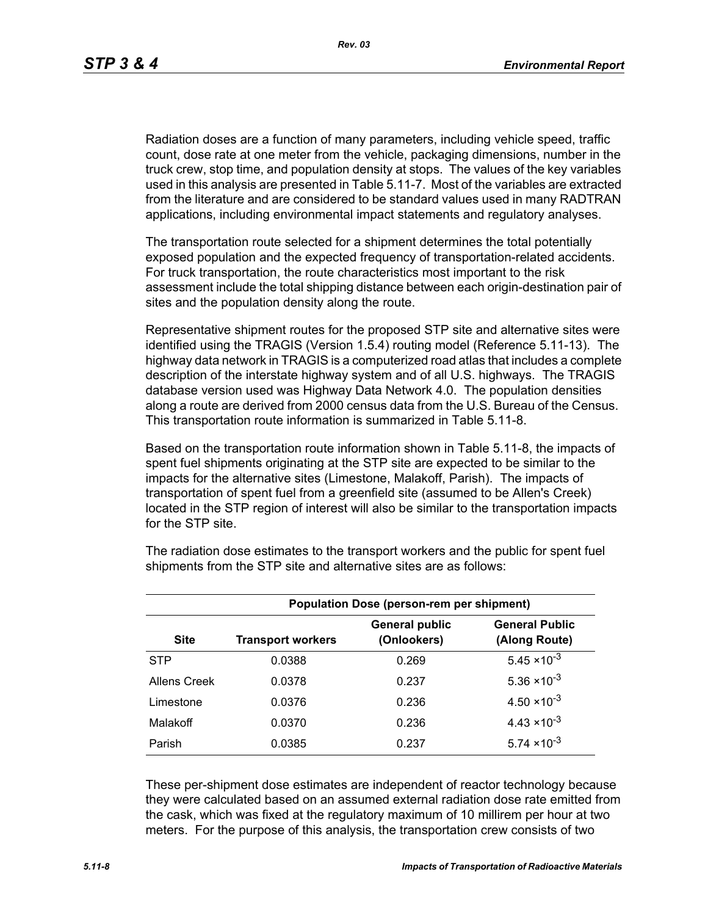Radiation doses are a function of many parameters, including vehicle speed, traffic count, dose rate at one meter from the vehicle, packaging dimensions, number in the truck crew, stop time, and population density at stops. The values of the key variables used in this analysis are presented in Table 5.11-7. Most of the variables are extracted from the literature and are considered to be standard values used in many RADTRAN applications, including environmental impact statements and regulatory analyses.

The transportation route selected for a shipment determines the total potentially exposed population and the expected frequency of transportation-related accidents. For truck transportation, the route characteristics most important to the risk assessment include the total shipping distance between each origin-destination pair of sites and the population density along the route.

Representative shipment routes for the proposed STP site and alternative sites were identified using the TRAGIS (Version 1.5.4) routing model (Reference 5.11-13). The highway data network in TRAGIS is a computerized road atlas that includes a complete description of the interstate highway system and of all U.S. highways. The TRAGIS database version used was Highway Data Network 4.0. The population densities along a route are derived from 2000 census data from the U.S. Bureau of the Census. This transportation route information is summarized in Table 5.11-8.

Based on the transportation route information shown in Table 5.11-8, the impacts of spent fuel shipments originating at the STP site are expected to be similar to the impacts for the alternative sites (Limestone, Malakoff, Parish). The impacts of transportation of spent fuel from a greenfield site (assumed to be Allen's Creek) located in the STP region of interest will also be similar to the transportation impacts for the STP site.

| <b>Population Dose (person-rem per shipment)</b> |                          |                                      |                                        |  |  |  |
|--------------------------------------------------|--------------------------|--------------------------------------|----------------------------------------|--|--|--|
| <b>Site</b>                                      | <b>Transport workers</b> | <b>General public</b><br>(Onlookers) | <b>General Public</b><br>(Along Route) |  |  |  |
| <b>STP</b>                                       | 0.0388                   | 0.269                                | $5.45 \times 10^{-3}$                  |  |  |  |
| Allens Creek                                     | 0.0378                   | 0.237                                | $5.36 \times 10^{-3}$                  |  |  |  |
| Limestone                                        | 0.0376                   | 0.236                                | $4.50 \times 10^{-3}$                  |  |  |  |
| Malakoff                                         | 0.0370                   | 0.236                                | $4.43 \times 10^{-3}$                  |  |  |  |
| Parish                                           | 0.0385                   | 0.237                                | $5.74 \times 10^{-3}$                  |  |  |  |

The radiation dose estimates to the transport workers and the public for spent fuel shipments from the STP site and alternative sites are as follows:

These per-shipment dose estimates are independent of reactor technology because they were calculated based on an assumed external radiation dose rate emitted from the cask, which was fixed at the regulatory maximum of 10 millirem per hour at two meters. For the purpose of this analysis, the transportation crew consists of two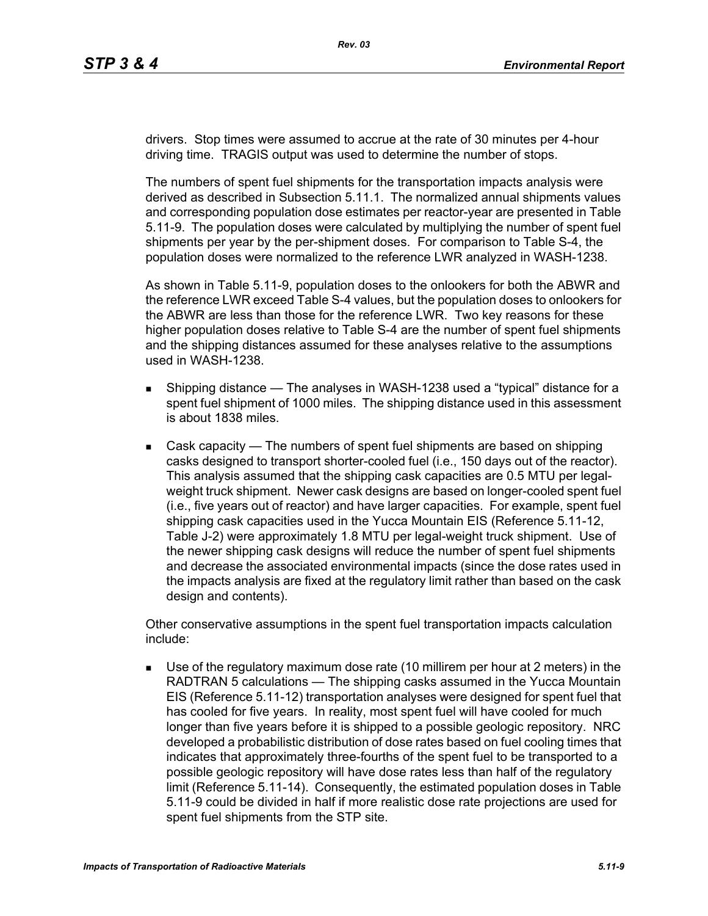drivers. Stop times were assumed to accrue at the rate of 30 minutes per 4-hour driving time. TRAGIS output was used to determine the number of stops.

The numbers of spent fuel shipments for the transportation impacts analysis were derived as described in Subsection 5.11.1. The normalized annual shipments values and corresponding population dose estimates per reactor-year are presented in Table 5.11-9. The population doses were calculated by multiplying the number of spent fuel shipments per year by the per-shipment doses. For comparison to Table S-4, the population doses were normalized to the reference LWR analyzed in WASH-1238.

As shown in Table 5.11-9, population doses to the onlookers for both the ABWR and the reference LWR exceed Table S-4 values, but the population doses to onlookers for the ABWR are less than those for the reference LWR. Two key reasons for these higher population doses relative to Table S-4 are the number of spent fuel shipments and the shipping distances assumed for these analyses relative to the assumptions used in WASH-1238.

- **Shipping distance The analyses in WASH-1238 used a "typical" distance for a** spent fuel shipment of 1000 miles. The shipping distance used in this assessment is about 1838 miles.
- Cask capacity The numbers of spent fuel shipments are based on shipping casks designed to transport shorter-cooled fuel (i.e., 150 days out of the reactor). This analysis assumed that the shipping cask capacities are 0.5 MTU per legalweight truck shipment. Newer cask designs are based on longer-cooled spent fuel (i.e., five years out of reactor) and have larger capacities. For example, spent fuel shipping cask capacities used in the Yucca Mountain EIS (Reference 5.11-12, Table J-2) were approximately 1.8 MTU per legal-weight truck shipment. Use of the newer shipping cask designs will reduce the number of spent fuel shipments and decrease the associated environmental impacts (since the dose rates used in the impacts analysis are fixed at the regulatory limit rather than based on the cask design and contents).

Other conservative assumptions in the spent fuel transportation impacts calculation include:

 Use of the regulatory maximum dose rate (10 millirem per hour at 2 meters) in the RADTRAN 5 calculations — The shipping casks assumed in the Yucca Mountain EIS (Reference 5.11-12) transportation analyses were designed for spent fuel that has cooled for five years. In reality, most spent fuel will have cooled for much longer than five years before it is shipped to a possible geologic repository. NRC developed a probabilistic distribution of dose rates based on fuel cooling times that indicates that approximately three-fourths of the spent fuel to be transported to a possible geologic repository will have dose rates less than half of the regulatory limit (Reference 5.11-14). Consequently, the estimated population doses in Table 5.11-9 could be divided in half if more realistic dose rate projections are used for spent fuel shipments from the STP site.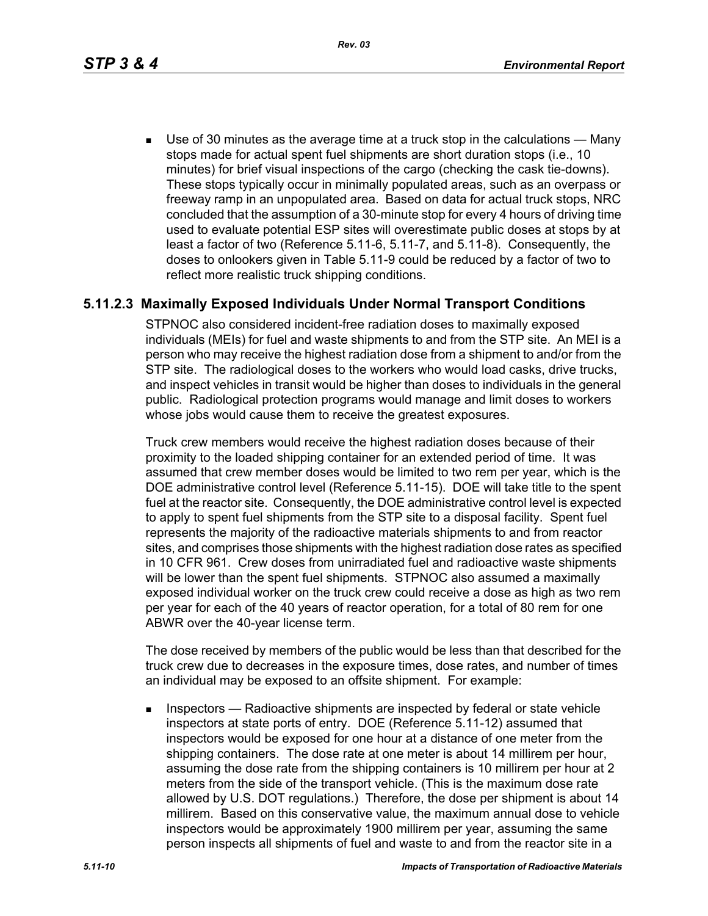*Rev. 03*

 Use of 30 minutes as the average time at a truck stop in the calculations — Many stops made for actual spent fuel shipments are short duration stops (i.e., 10 minutes) for brief visual inspections of the cargo (checking the cask tie-downs). These stops typically occur in minimally populated areas, such as an overpass or freeway ramp in an unpopulated area. Based on data for actual truck stops, NRC concluded that the assumption of a 30-minute stop for every 4 hours of driving time used to evaluate potential ESP sites will overestimate public doses at stops by at least a factor of two (Reference 5.11-6, 5.11-7, and 5.11-8). Consequently, the doses to onlookers given in Table 5.11-9 could be reduced by a factor of two to reflect more realistic truck shipping conditions.

# **5.11.2.3 Maximally Exposed Individuals Under Normal Transport Conditions**

STPNOC also considered incident-free radiation doses to maximally exposed individuals (MEIs) for fuel and waste shipments to and from the STP site. An MEI is a person who may receive the highest radiation dose from a shipment to and/or from the STP site. The radiological doses to the workers who would load casks, drive trucks, and inspect vehicles in transit would be higher than doses to individuals in the general public. Radiological protection programs would manage and limit doses to workers whose jobs would cause them to receive the greatest exposures.

Truck crew members would receive the highest radiation doses because of their proximity to the loaded shipping container for an extended period of time. It was assumed that crew member doses would be limited to two rem per year, which is the DOE administrative control level (Reference 5.11-15). DOE will take title to the spent fuel at the reactor site. Consequently, the DOE administrative control level is expected to apply to spent fuel shipments from the STP site to a disposal facility. Spent fuel represents the majority of the radioactive materials shipments to and from reactor sites, and comprises those shipments with the highest radiation dose rates as specified in 10 CFR 961. Crew doses from unirradiated fuel and radioactive waste shipments will be lower than the spent fuel shipments. STPNOC also assumed a maximally exposed individual worker on the truck crew could receive a dose as high as two rem per year for each of the 40 years of reactor operation, for a total of 80 rem for one ABWR over the 40-year license term.

The dose received by members of the public would be less than that described for the truck crew due to decreases in the exposure times, dose rates, and number of times an individual may be exposed to an offsite shipment. For example:

**Inspectors** — Radioactive shipments are inspected by federal or state vehicle inspectors at state ports of entry. DOE (Reference 5.11-12) assumed that inspectors would be exposed for one hour at a distance of one meter from the shipping containers. The dose rate at one meter is about 14 millirem per hour, assuming the dose rate from the shipping containers is 10 millirem per hour at 2 meters from the side of the transport vehicle. (This is the maximum dose rate allowed by U.S. DOT regulations.) Therefore, the dose per shipment is about 14 millirem. Based on this conservative value, the maximum annual dose to vehicle inspectors would be approximately 1900 millirem per year, assuming the same person inspects all shipments of fuel and waste to and from the reactor site in a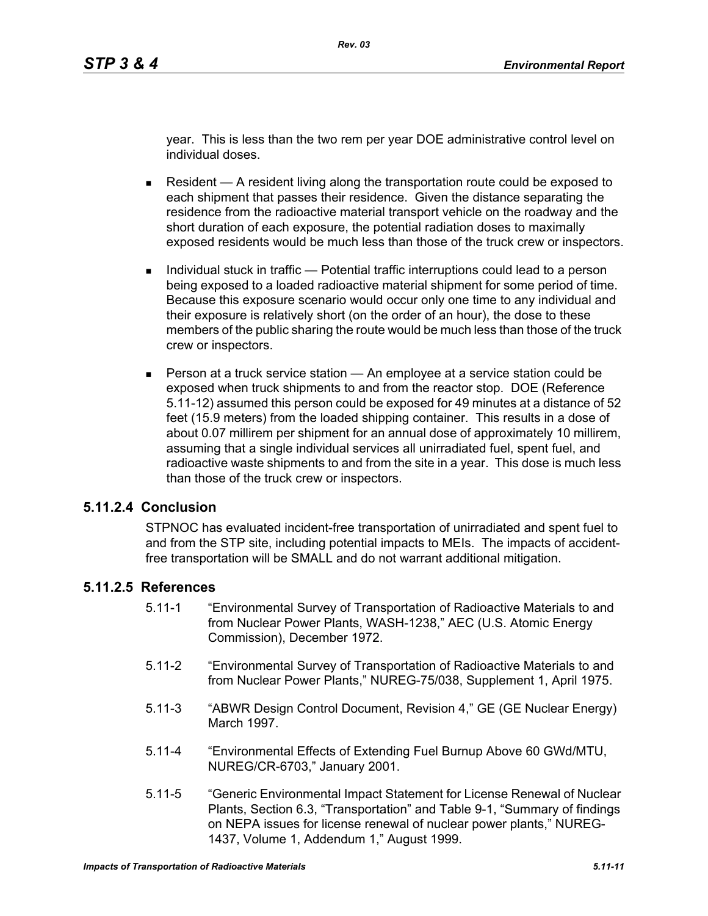year. This is less than the two rem per year DOE administrative control level on individual doses.

- Resident  $A$  resident living along the transportation route could be exposed to each shipment that passes their residence. Given the distance separating the residence from the radioactive material transport vehicle on the roadway and the short duration of each exposure, the potential radiation doses to maximally exposed residents would be much less than those of the truck crew or inspectors.
- Individual stuck in traffic Potential traffic interruptions could lead to a person being exposed to a loaded radioactive material shipment for some period of time. Because this exposure scenario would occur only one time to any individual and their exposure is relatively short (on the order of an hour), the dose to these members of the public sharing the route would be much less than those of the truck crew or inspectors.
- **Person at a truck service station An employee at a service station could be** exposed when truck shipments to and from the reactor stop. DOE (Reference 5.11-12) assumed this person could be exposed for 49 minutes at a distance of 52 feet (15.9 meters) from the loaded shipping container. This results in a dose of about 0.07 millirem per shipment for an annual dose of approximately 10 millirem, assuming that a single individual services all unirradiated fuel, spent fuel, and radioactive waste shipments to and from the site in a year. This dose is much less than those of the truck crew or inspectors.

#### **5.11.2.4 Conclusion**

STPNOC has evaluated incident-free transportation of unirradiated and spent fuel to and from the STP site, including potential impacts to MEIs. The impacts of accidentfree transportation will be SMALL and do not warrant additional mitigation.

### **5.11.2.5 References**

- 5.11-1 "Environmental Survey of Transportation of Radioactive Materials to and from Nuclear Power Plants, WASH-1238," AEC (U.S. Atomic Energy Commission), December 1972.
- 5.11-2 "Environmental Survey of Transportation of Radioactive Materials to and from Nuclear Power Plants," NUREG-75/038, Supplement 1, April 1975.
- 5.11-3 "ABWR Design Control Document, Revision 4," GE (GE Nuclear Energy) March 1997.
- 5.11-4 "Environmental Effects of Extending Fuel Burnup Above 60 GWd/MTU, NUREG/CR-6703," January 2001.
- 5.11-5 "Generic Environmental Impact Statement for License Renewal of Nuclear Plants, Section 6.3, "Transportation" and Table 9-1, "Summary of findings on NEPA issues for license renewal of nuclear power plants," NUREG-1437, Volume 1, Addendum 1," August 1999.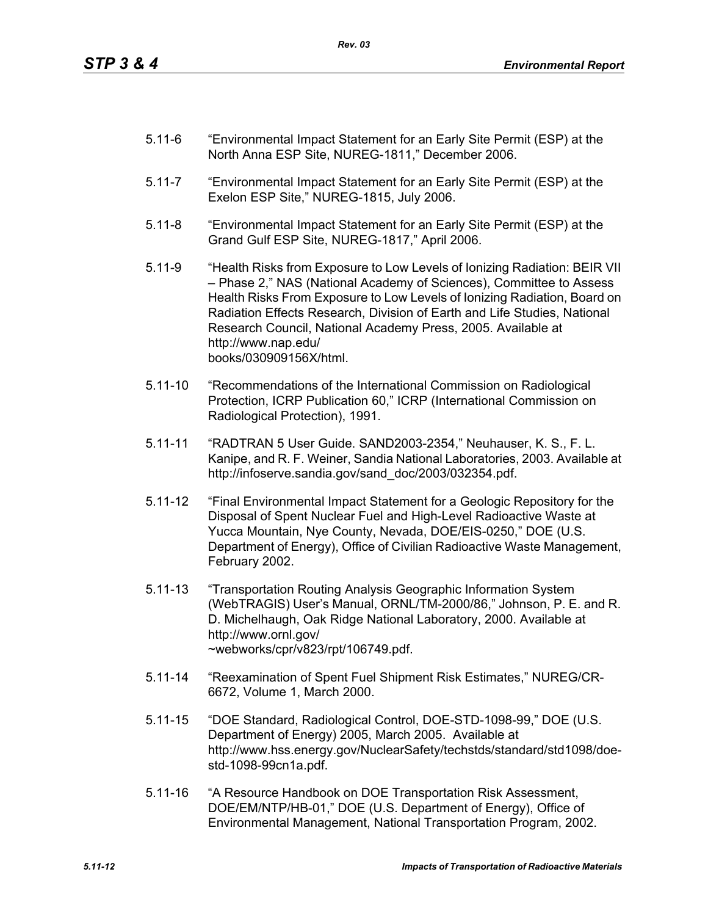- 5.11-6 "Environmental Impact Statement for an Early Site Permit (ESP) at the North Anna ESP Site, NUREG-1811," December 2006.
- 5.11-7 "Environmental Impact Statement for an Early Site Permit (ESP) at the Exelon ESP Site," NUREG-1815, July 2006.
- 5.11-8 "Environmental Impact Statement for an Early Site Permit (ESP) at the Grand Gulf ESP Site, NUREG-1817," April 2006.
- 5.11-9 "Health Risks from Exposure to Low Levels of Ionizing Radiation: BEIR VII – Phase 2," NAS (National Academy of Sciences), Committee to Assess Health Risks From Exposure to Low Levels of Ionizing Radiation, Board on Radiation Effects Research, Division of Earth and Life Studies, National Research Council, National Academy Press, 2005. Available at http://www.nap.edu/ books/030909156X/html.
- 5.11-10 "Recommendations of the International Commission on Radiological Protection, ICRP Publication 60," ICRP (International Commission on Radiological Protection), 1991.
- 5.11-11 "RADTRAN 5 User Guide. SAND2003-2354," Neuhauser, K. S., F. L. Kanipe, and R. F. Weiner, Sandia National Laboratories, 2003. Available at http://infoserve.sandia.gov/sand\_doc/2003/032354.pdf.
- 5.11-12 "Final Environmental Impact Statement for a Geologic Repository for the Disposal of Spent Nuclear Fuel and High-Level Radioactive Waste at Yucca Mountain, Nye County, Nevada, DOE/EIS-0250," DOE (U.S. Department of Energy), Office of Civilian Radioactive Waste Management, February 2002.
- 5.11-13 "Transportation Routing Analysis Geographic Information System (WebTRAGIS) User's Manual, ORNL/TM-2000/86," Johnson, P. E. and R. D. Michelhaugh, Oak Ridge National Laboratory, 2000. Available at http://www.ornl.gov/ ~webworks/cpr/v823/rpt/106749.pdf.
- 5.11-14 "Reexamination of Spent Fuel Shipment Risk Estimates," NUREG/CR-6672, Volume 1, March 2000.
- 5.11-15 "DOE Standard, Radiological Control, DOE-STD-1098-99," DOE (U.S. Department of Energy) 2005, March 2005. Available at http://www.hss.energy.gov/NuclearSafety/techstds/standard/std1098/doestd-1098-99cn1a.pdf.
- 5.11-16 "A Resource Handbook on DOE Transportation Risk Assessment, DOE/EM/NTP/HB-01," DOE (U.S. Department of Energy), Office of Environmental Management, National Transportation Program, 2002.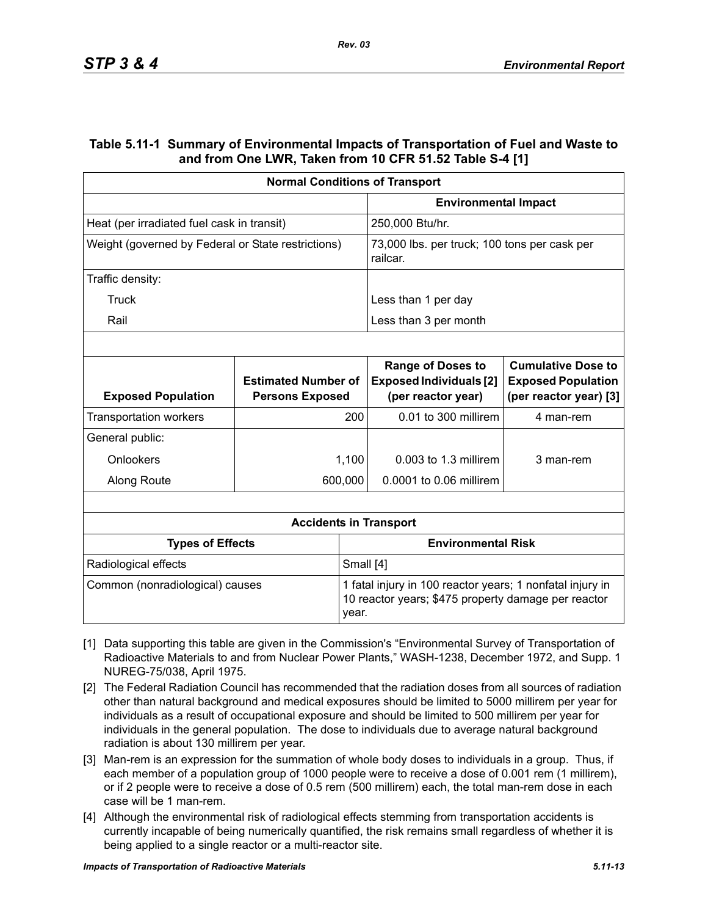#### **Table 5.11-1 Summary of Environmental Impacts of Transportation of Fuel and Waste to and from One LWR, Taken from 10 CFR 51.52 Table S-4 [1]**

| <b>Normal Conditions of Transport</b>              |                                                      |                           |                                                                                                                  |                                                                                  |  |
|----------------------------------------------------|------------------------------------------------------|---------------------------|------------------------------------------------------------------------------------------------------------------|----------------------------------------------------------------------------------|--|
|                                                    |                                                      |                           | <b>Environmental Impact</b>                                                                                      |                                                                                  |  |
| Heat (per irradiated fuel cask in transit)         |                                                      |                           | 250,000 Btu/hr.                                                                                                  |                                                                                  |  |
| Weight (governed by Federal or State restrictions) |                                                      |                           | 73,000 lbs. per truck; 100 tons per cask per<br>railcar.                                                         |                                                                                  |  |
| Traffic density:                                   |                                                      |                           |                                                                                                                  |                                                                                  |  |
| Truck                                              |                                                      |                           | Less than 1 per day                                                                                              |                                                                                  |  |
| Rail                                               |                                                      |                           | Less than 3 per month                                                                                            |                                                                                  |  |
|                                                    |                                                      |                           |                                                                                                                  |                                                                                  |  |
| <b>Exposed Population</b>                          | <b>Estimated Number of</b><br><b>Persons Exposed</b> |                           | <b>Range of Doses to</b><br><b>Exposed Individuals [2]</b><br>(per reactor year)                                 | <b>Cumulative Dose to</b><br><b>Exposed Population</b><br>(per reactor year) [3] |  |
| <b>Transportation workers</b>                      | 200                                                  |                           | 0.01 to 300 millirem                                                                                             | 4 man-rem                                                                        |  |
| General public:                                    |                                                      |                           |                                                                                                                  |                                                                                  |  |
| Onlookers                                          |                                                      | 1,100                     | $0.003$ to 1.3 millirem                                                                                          | 3 man-rem                                                                        |  |
| Along Route                                        |                                                      | 600,000                   | 0.0001 to 0.06 millirem                                                                                          |                                                                                  |  |
|                                                    |                                                      |                           |                                                                                                                  |                                                                                  |  |
|                                                    |                                                      |                           | <b>Accidents in Transport</b>                                                                                    |                                                                                  |  |
| <b>Types of Effects</b>                            |                                                      | <b>Environmental Risk</b> |                                                                                                                  |                                                                                  |  |
| Radiological effects                               |                                                      |                           | Small [4]                                                                                                        |                                                                                  |  |
| Common (nonradiological) causes                    |                                                      | year.                     | 1 fatal injury in 100 reactor years; 1 nonfatal injury in<br>10 reactor years; \$475 property damage per reactor |                                                                                  |  |

- [1] Data supporting this table are given in the Commission's "Environmental Survey of Transportation of Radioactive Materials to and from Nuclear Power Plants," WASH-1238, December 1972, and Supp. 1 NUREG-75/038, April 1975.
- [2] The Federal Radiation Council has recommended that the radiation doses from all sources of radiation other than natural background and medical exposures should be limited to 5000 millirem per year for individuals as a result of occupational exposure and should be limited to 500 millirem per year for individuals in the general population. The dose to individuals due to average natural background radiation is about 130 millirem per year.
- [3] Man-rem is an expression for the summation of whole body doses to individuals in a group. Thus, if each member of a population group of 1000 people were to receive a dose of 0.001 rem (1 millirem), or if 2 people were to receive a dose of 0.5 rem (500 millirem) each, the total man-rem dose in each case will be 1 man-rem.
- [4] Although the environmental risk of radiological effects stemming from transportation accidents is currently incapable of being numerically quantified, the risk remains small regardless of whether it is being applied to a single reactor or a multi-reactor site.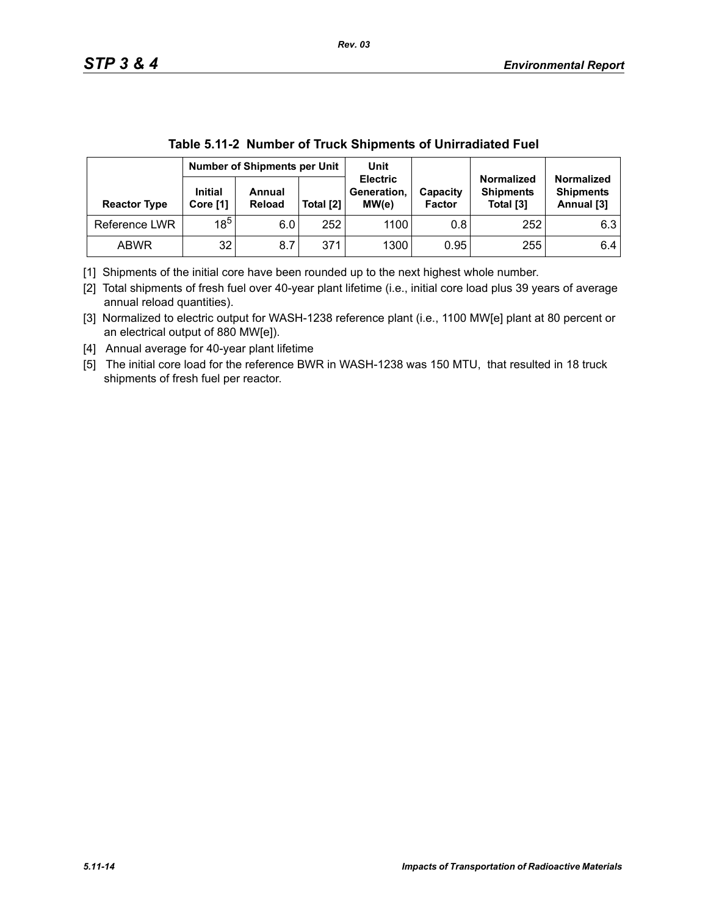|                     |                            | <b>Number of Shipments per Unit</b> |           | Unit                                    |                           |                                                    |                                                     |
|---------------------|----------------------------|-------------------------------------|-----------|-----------------------------------------|---------------------------|----------------------------------------------------|-----------------------------------------------------|
| <b>Reactor Type</b> | <b>Initial</b><br>Core [1] | Annual<br>Reload                    | Total [2] | <b>Electric</b><br>Generation,<br>MW(e) | Capacity<br><b>Factor</b> | <b>Normalized</b><br><b>Shipments</b><br>Total [3] | <b>Normalized</b><br><b>Shipments</b><br>Annual [3] |
| Reference LWR       | $18^5$                     | 6.0                                 | 252       | 1100                                    | 0.8                       | 252                                                | 6.3                                                 |
| <b>ABWR</b>         | 32                         | 8.7                                 | 371       | 1300                                    | 0.95                      | 255                                                | 6.4                                                 |

| Table 5.11-2 Number of Truck Shipments of Unirradiated Fuel |
|-------------------------------------------------------------|
|-------------------------------------------------------------|

[1] Shipments of the initial core have been rounded up to the next highest whole number.

[2] Total shipments of fresh fuel over 40-year plant lifetime (i.e., initial core load plus 39 years of average annual reload quantities).

[3] Normalized to electric output for WASH-1238 reference plant (i.e., 1100 MW[e] plant at 80 percent or an electrical output of 880 MW[e]).

[4] Annual average for 40-year plant lifetime

[5] The initial core load for the reference BWR in WASH-1238 was 150 MTU, that resulted in 18 truck shipments of fresh fuel per reactor.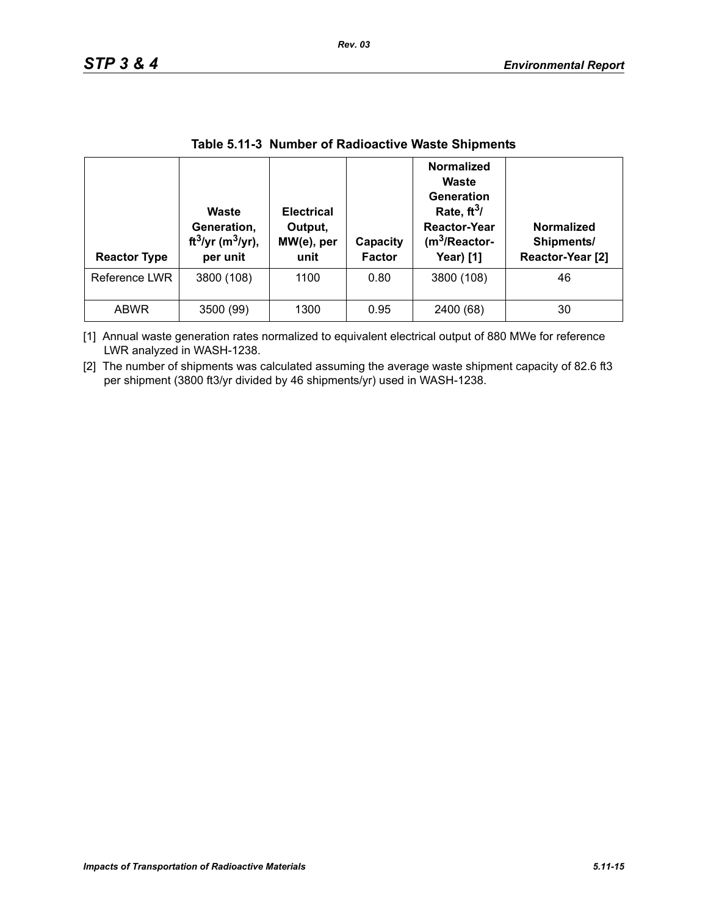| <b>Reactor Type</b> | Waste<br>Generation,<br>ft <sup>3</sup> /yr (m <sup>3</sup> /yr),<br>per unit | <b>Electrical</b><br>Output,<br>MW(e), per<br>unit | Capacity<br><b>Factor</b> | <b>Normalized</b><br>Waste<br>Generation<br>Rate, $ft^3/$<br><b>Reactor-Year</b><br>$(m3/Reactor-$<br><b>Year)</b> [1] | <b>Normalized</b><br>Shipments/<br>Reactor-Year [2] |
|---------------------|-------------------------------------------------------------------------------|----------------------------------------------------|---------------------------|------------------------------------------------------------------------------------------------------------------------|-----------------------------------------------------|
| Reference LWR       | 3800 (108)                                                                    | 1100                                               | 0.80                      | 3800 (108)                                                                                                             | 46                                                  |
| <b>ABWR</b>         | 3500 (99)                                                                     | 1300                                               | 0.95                      | 2400 (68)                                                                                                              | 30                                                  |

#### **Table 5.11-3 Number of Radioactive Waste Shipments**

[1] Annual waste generation rates normalized to equivalent electrical output of 880 MWe for reference LWR analyzed in WASH-1238.

[2] The number of shipments was calculated assuming the average waste shipment capacity of 82.6 ft3 per shipment (3800 ft3/yr divided by 46 shipments/yr) used in WASH-1238.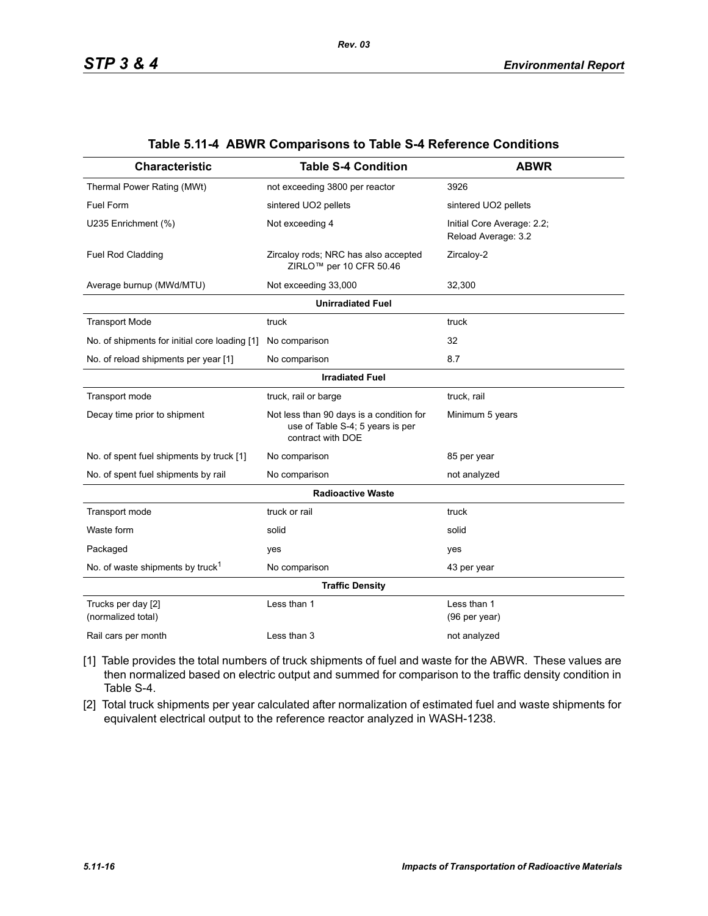| <b>Characteristic</b>                         | <b>Table S-4 Condition</b>                                                                        | <b>ABWR</b>                                       |  |  |  |  |  |
|-----------------------------------------------|---------------------------------------------------------------------------------------------------|---------------------------------------------------|--|--|--|--|--|
| Thermal Power Rating (MWt)                    | not exceeding 3800 per reactor                                                                    | 3926                                              |  |  |  |  |  |
| <b>Fuel Form</b>                              | sintered UO2 pellets                                                                              | sintered UO2 pellets                              |  |  |  |  |  |
| U235 Enrichment (%)                           | Not exceeding 4                                                                                   | Initial Core Average: 2.2;<br>Reload Average: 3.2 |  |  |  |  |  |
| Fuel Rod Cladding                             | Zircaloy rods; NRC has also accepted<br>ZIRLO <sup>™</sup> per 10 CFR 50.46                       | Zircaloy-2                                        |  |  |  |  |  |
| Average burnup (MWd/MTU)                      | Not exceeding 33,000                                                                              | 32,300                                            |  |  |  |  |  |
| <b>Unirradiated Fuel</b>                      |                                                                                                   |                                                   |  |  |  |  |  |
| <b>Transport Mode</b>                         | truck                                                                                             | truck                                             |  |  |  |  |  |
| No. of shipments for initial core loading [1] | No comparison                                                                                     | 32                                                |  |  |  |  |  |
| No. of reload shipments per year [1]          | No comparison                                                                                     | 8.7                                               |  |  |  |  |  |
| <b>Irradiated Fuel</b>                        |                                                                                                   |                                                   |  |  |  |  |  |
| Transport mode                                | truck, rail or barge                                                                              | truck, rail                                       |  |  |  |  |  |
| Decay time prior to shipment                  | Not less than 90 days is a condition for<br>use of Table S-4; 5 years is per<br>contract with DOE | Minimum 5 years                                   |  |  |  |  |  |
| No. of spent fuel shipments by truck [1]      | No comparison                                                                                     | 85 per year                                       |  |  |  |  |  |
| No. of spent fuel shipments by rail           | No comparison                                                                                     | not analyzed                                      |  |  |  |  |  |
|                                               | <b>Radioactive Waste</b>                                                                          |                                                   |  |  |  |  |  |
| Transport mode                                | truck or rail                                                                                     | truck                                             |  |  |  |  |  |
| Waste form                                    | solid                                                                                             | solid                                             |  |  |  |  |  |
| Packaged                                      | yes                                                                                               | yes                                               |  |  |  |  |  |
| No. of waste shipments by truck <sup>1</sup>  | No comparison                                                                                     | 43 per year                                       |  |  |  |  |  |
|                                               | <b>Traffic Density</b>                                                                            |                                                   |  |  |  |  |  |
| Trucks per day [2]<br>(normalized total)      | Less than 1                                                                                       | Less than 1<br>(96 per year)                      |  |  |  |  |  |
| Rail cars per month                           | Less than 3                                                                                       | not analyzed                                      |  |  |  |  |  |

#### **Table 5.11-4 ABWR Comparisons to Table S-4 Reference Conditions**

- [1] Table provides the total numbers of truck shipments of fuel and waste for the ABWR. These values are then normalized based on electric output and summed for comparison to the traffic density condition in Table S-4.
- [2] Total truck shipments per year calculated after normalization of estimated fuel and waste shipments for equivalent electrical output to the reference reactor analyzed in WASH-1238.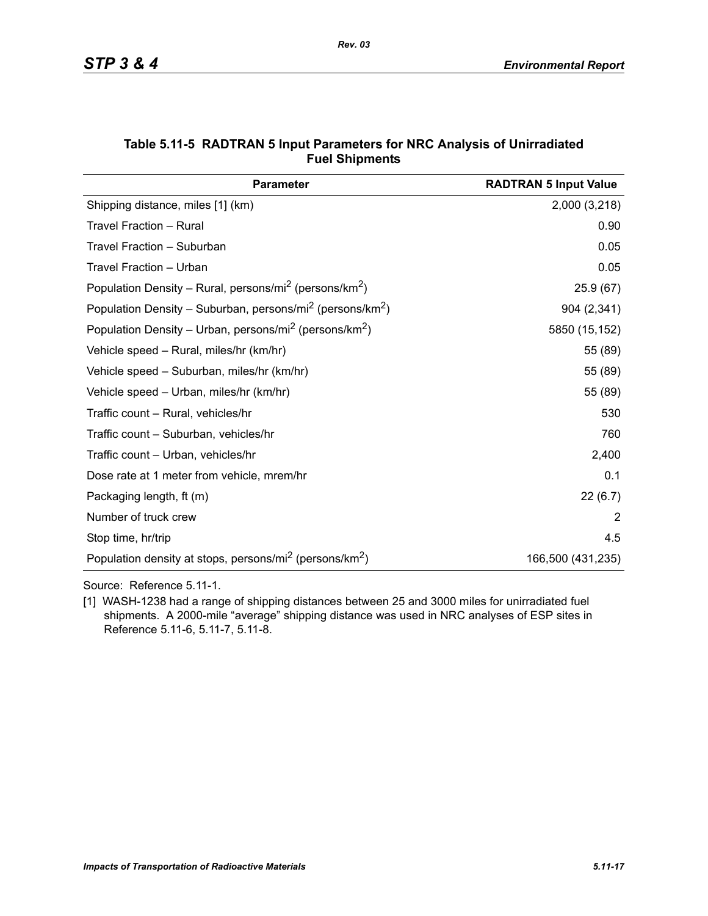| <b>Parameter</b>                                                                  | <b>RADTRAN 5 Input Value</b> |
|-----------------------------------------------------------------------------------|------------------------------|
| Shipping distance, miles [1] (km)                                                 | 2,000 (3,218)                |
| Travel Fraction - Rural                                                           | 0.90                         |
| Travel Fraction - Suburban                                                        | 0.05                         |
| Travel Fraction - Urban                                                           | 0.05                         |
| Population Density – Rural, persons/mi <sup>2</sup> (persons/km <sup>2</sup> )    | 25.9(67)                     |
| Population Density - Suburban, persons/mi <sup>2</sup> (persons/km <sup>2</sup> ) | 904 (2,341)                  |
| Population Density – Urban, persons/mi <sup>2</sup> (persons/km <sup>2</sup> )    | 5850 (15,152)                |
| Vehicle speed - Rural, miles/hr (km/hr)                                           | 55 (89)                      |
| Vehicle speed - Suburban, miles/hr (km/hr)                                        | 55 (89)                      |
| Vehicle speed - Urban, miles/hr (km/hr)                                           | 55 (89)                      |
| Traffic count - Rural, vehicles/hr                                                | 530                          |
| Traffic count - Suburban, vehicles/hr                                             | 760                          |
| Traffic count - Urban, vehicles/hr                                                | 2,400                        |
| Dose rate at 1 meter from vehicle, mrem/hr                                        | 0.1                          |
| Packaging length, ft (m)                                                          | 22(6.7)                      |
| Number of truck crew                                                              | 2                            |
| Stop time, hr/trip                                                                | 4.5                          |
| Population density at stops, persons/mi <sup>2</sup> (persons/km <sup>2</sup> )   | 166,500 (431,235)            |

#### **Table 5.11-5 RADTRAN 5 Input Parameters for NRC Analysis of Unirradiated Fuel Shipments**

Source: Reference 5.11-1.

[1] WASH-1238 had a range of shipping distances between 25 and 3000 miles for unirradiated fuel shipments. A 2000-mile "average" shipping distance was used in NRC analyses of ESP sites in Reference 5.11-6, 5.11-7, 5.11-8.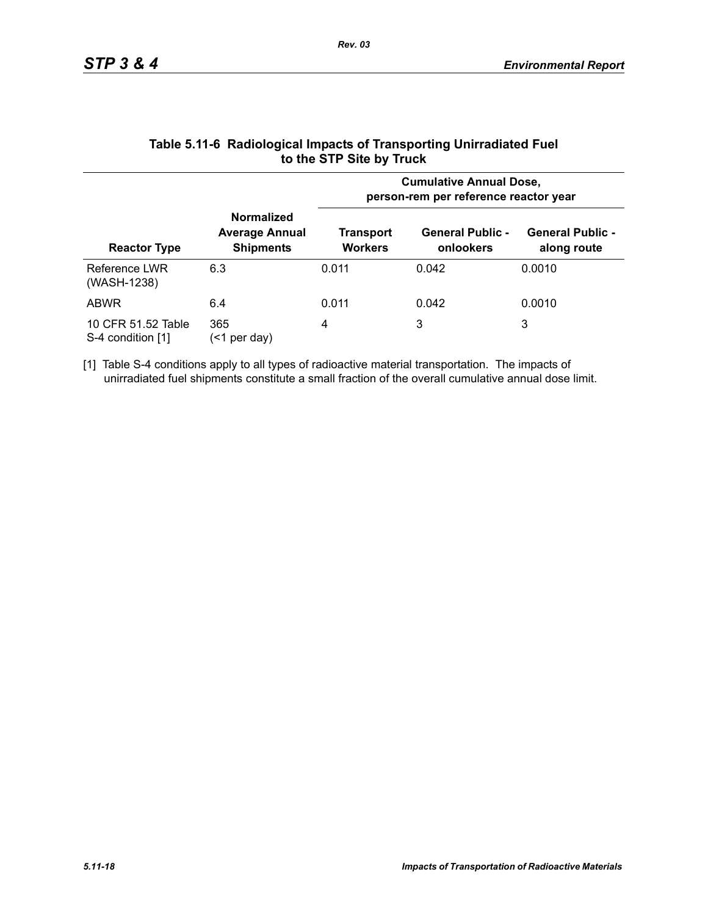|                                         |                                                                | <b>Cumulative Annual Dose,</b><br>person-rem per reference reactor year |                                      |                                        |  |  |
|-----------------------------------------|----------------------------------------------------------------|-------------------------------------------------------------------------|--------------------------------------|----------------------------------------|--|--|
| <b>Reactor Type</b>                     | <b>Normalized</b><br><b>Average Annual</b><br><b>Shipments</b> | Transport<br><b>Workers</b>                                             | <b>General Public -</b><br>onlookers | <b>General Public -</b><br>along route |  |  |
| Reference LWR<br>(WASH-1238)            | 6.3                                                            | 0.011                                                                   | 0.042                                | 0.0010                                 |  |  |
| <b>ABWR</b>                             | 6.4                                                            | 0.011                                                                   | 0.042                                | 0.0010                                 |  |  |
| 10 CFR 51.52 Table<br>S-4 condition [1] | 365<br>per day)<br>(<1                                         | 4                                                                       | 3                                    | 3                                      |  |  |

#### **Table 5.11-6 Radiological Impacts of Transporting Unirradiated Fuel to the STP Site by Truck**

[1] Table S-4 conditions apply to all types of radioactive material transportation. The impacts of unirradiated fuel shipments constitute a small fraction of the overall cumulative annual dose limit.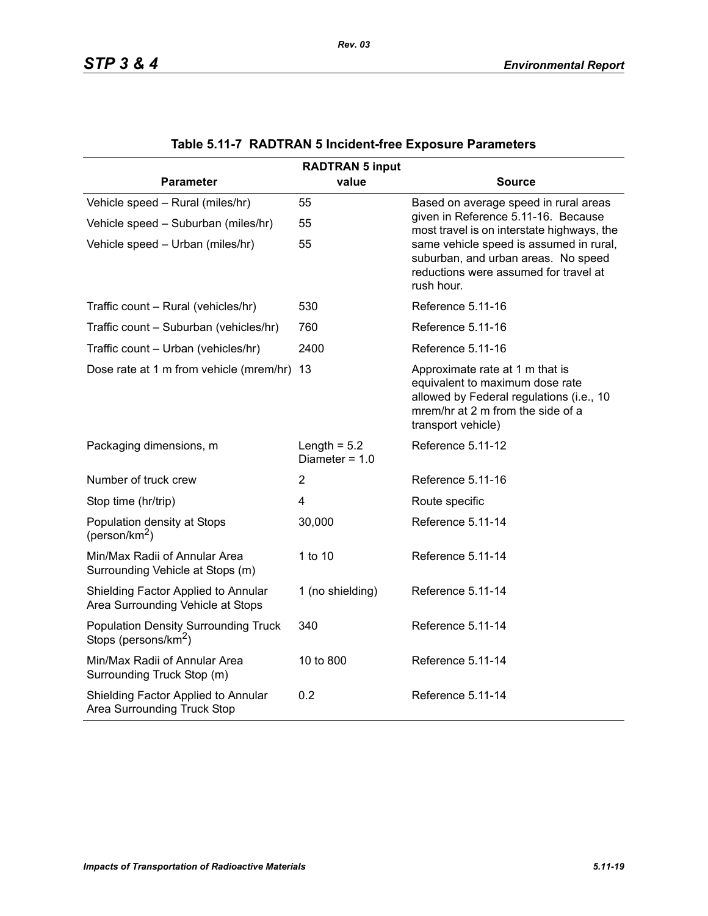| <b>RADTRAN 5 input</b>                                                          |                                    |                                                                                                                                                                           |  |  |  |  |
|---------------------------------------------------------------------------------|------------------------------------|---------------------------------------------------------------------------------------------------------------------------------------------------------------------------|--|--|--|--|
| <b>Parameter</b>                                                                | value                              | <b>Source</b>                                                                                                                                                             |  |  |  |  |
| Vehicle speed - Rural (miles/hr)                                                | 55                                 | Based on average speed in rural areas                                                                                                                                     |  |  |  |  |
| Vehicle speed - Suburban (miles/hr)                                             | 55                                 | given in Reference 5.11-16. Because<br>most travel is on interstate highways, the                                                                                         |  |  |  |  |
| Vehicle speed - Urban (miles/hr)                                                | 55                                 | same vehicle speed is assumed in rural,<br>suburban, and urban areas. No speed<br>reductions were assumed for travel at<br>rush hour.                                     |  |  |  |  |
| Traffic count - Rural (vehicles/hr)                                             | 530                                | Reference 5.11-16                                                                                                                                                         |  |  |  |  |
| Traffic count - Suburban (vehicles/hr)                                          | 760                                | Reference 5.11-16                                                                                                                                                         |  |  |  |  |
| Traffic count - Urban (vehicles/hr)                                             | 2400                               | Reference 5.11-16                                                                                                                                                         |  |  |  |  |
| Dose rate at 1 m from vehicle (mrem/hr) 13                                      |                                    | Approximate rate at 1 m that is<br>equivalent to maximum dose rate<br>allowed by Federal regulations (i.e., 10<br>mrem/hr at 2 m from the side of a<br>transport vehicle) |  |  |  |  |
| Packaging dimensions, m                                                         | Length = $5.2$<br>Diameter = $1.0$ | Reference 5.11-12                                                                                                                                                         |  |  |  |  |
| Number of truck crew                                                            | $\overline{2}$                     | Reference 5.11-16                                                                                                                                                         |  |  |  |  |
| Stop time (hr/trip)                                                             | 4                                  | Route specific                                                                                                                                                            |  |  |  |  |
| Population density at Stops<br>(person/km <sup>2</sup> )                        | 30,000                             | Reference 5.11-14                                                                                                                                                         |  |  |  |  |
| Min/Max Radii of Annular Area<br>Surrounding Vehicle at Stops (m)               | 1 to 10                            | Reference 5.11-14                                                                                                                                                         |  |  |  |  |
| Shielding Factor Applied to Annular<br>Area Surrounding Vehicle at Stops        | 1 (no shielding)                   | Reference 5.11-14                                                                                                                                                         |  |  |  |  |
| <b>Population Density Surrounding Truck</b><br>Stops (persons/km <sup>2</sup> ) | 340                                | Reference 5.11-14                                                                                                                                                         |  |  |  |  |
| Min/Max Radii of Annular Area<br>Surrounding Truck Stop (m)                     | 10 to 800                          | Reference 5.11-14                                                                                                                                                         |  |  |  |  |
| Shielding Factor Applied to Annular<br>Area Surrounding Truck Stop              | 0.2                                | Reference 5.11-14                                                                                                                                                         |  |  |  |  |

|  |  | Table 5.11-7 RADTRAN 5 Incident-free Exposure Parameters |  |  |
|--|--|----------------------------------------------------------|--|--|
|--|--|----------------------------------------------------------|--|--|